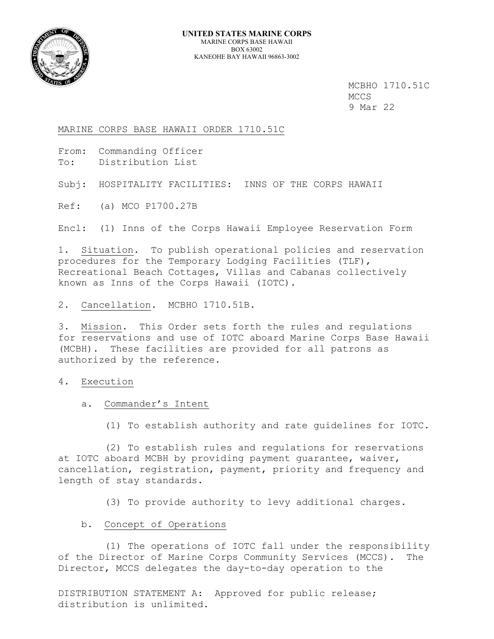

 MCBHO 1710.51C MCCS 9 Mar 22

MARINE CORPS BASE HAWAII ORDER 1710.51C

From: Commanding Officer To: Distribution List

Subj: HOSPITALITY FACILITIES: INNS OF THE CORPS HAWAII

Ref: (a) MCO P1700.27B

Encl: (1) Inns of the Corps Hawaii Employee Reservation Form

1. Situation. To publish operational policies and reservation procedures for the Temporary Lodging Facilities (TLF), Recreational Beach Cottages, Villas and Cabanas collectively known as Inns of the Corps Hawaii (IOTC).

2. Cancellation. MCBHO 1710.51B.

3. Mission. This Order sets forth the rules and regulations for reservations and use of IOTC aboard Marine Corps Base Hawaii (MCBH). These facilities are provided for all patrons as authorized by the reference.

### 4. Execution

a. Commander's Intent

(1) To establish authority and rate guidelines for IOTC.

 (2) To establish rules and regulations for reservations at IOTC aboard MCBH by providing payment guarantee, waiver, cancellation, registration, payment, priority and frequency and length of stay standards.

(3) To provide authority to levy additional charges.

## b. Concept of Operations

 (1) The operations of IOTC fall under the responsibility of the Director of Marine Corps Community Services (MCCS). The Director, MCCS delegates the day-to-day operation to the

DISTRIBUTION STATEMENT A: Approved for public release; distribution is unlimited.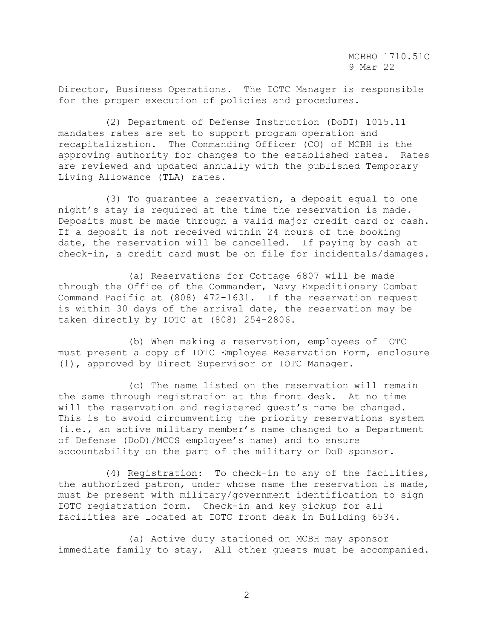Director, Business Operations. The IOTC Manager is responsible for the proper execution of policies and procedures.

 (2) Department of Defense Instruction (DoDI) 1015.11 mandates rates are set to support program operation and recapitalization. The Commanding Officer (CO) of MCBH is the approving authority for changes to the established rates. Rates are reviewed and updated annually with the published Temporary Living Allowance (TLA) rates.

 (3) To guarantee a reservation, a deposit equal to one night's stay is required at the time the reservation is made. Deposits must be made through a valid major credit card or cash. If a deposit is not received within 24 hours of the booking date, the reservation will be cancelled. If paying by cash at check-in, a credit card must be on file for incidentals/damages.

 (a) Reservations for Cottage 6807 will be made through the Office of the Commander, Navy Expeditionary Combat Command Pacific at (808) 472-1631. If the reservation request is within 30 days of the arrival date, the reservation may be taken directly by IOTC at (808) 254-2806.

 (b) When making a reservation, employees of IOTC must present a copy of IOTC Employee Reservation Form, enclosure (1), approved by Direct Supervisor or IOTC Manager.

 (c) The name listed on the reservation will remain the same through registration at the front desk. At no time will the reservation and registered guest's name be changed. This is to avoid circumventing the priority reservations system (i.e., an active military member's name changed to a Department of Defense (DoD)/MCCS employee's name) and to ensure accountability on the part of the military or DoD sponsor.

 (4) Registration: To check-in to any of the facilities, the authorized patron, under whose name the reservation is made, must be present with military/government identification to sign IOTC registration form. Check-in and key pickup for all facilities are located at IOTC front desk in Building 6534.

 (a) Active duty stationed on MCBH may sponsor immediate family to stay. All other guests must be accompanied.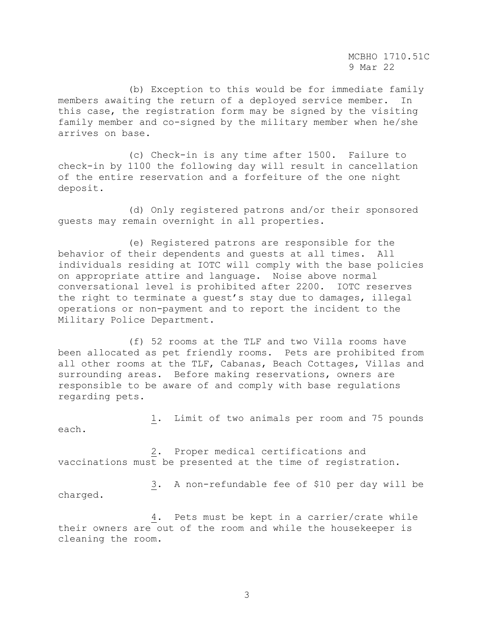MCBHO 1710.51C 9 Mar 22

 (b) Exception to this would be for immediate family members awaiting the return of a deployed service member. this case, the registration form may be signed by the visiting family member and co-signed by the military member when he/she arrives on base.

 (c) Check-in is any time after 1500. Failure to check-in by 1100 the following day will result in cancellation of the entire reservation and a forfeiture of the one night deposit.

 (d) Only registered patrons and/or their sponsored guests may remain overnight in all properties.

 (e) Registered patrons are responsible for the behavior of their dependents and guests at all times. All individuals residing at IOTC will comply with the base policies on appropriate attire and language. Noise above normal conversational level is prohibited after 2200. IOTC reserves the right to terminate a guest's stay due to damages, illegal operations or non-payment and to report the incident to the Military Police Department.

 (f) 52 rooms at the TLF and two Villa rooms have been allocated as pet friendly rooms. Pets are prohibited from all other rooms at the TLF, Cabanas, Beach Cottages, Villas and surrounding areas. Before making reservations, owners are responsible to be aware of and comply with base regulations regarding pets.

 1. Limit of two animals per room and 75 pounds each.

 2. Proper medical certifications and vaccinations must be presented at the time of registration.

 3. A non-refundable fee of \$10 per day will be charged.

 4. Pets must be kept in a carrier/crate while their owners are out of the room and while the housekeeper is cleaning the room.

3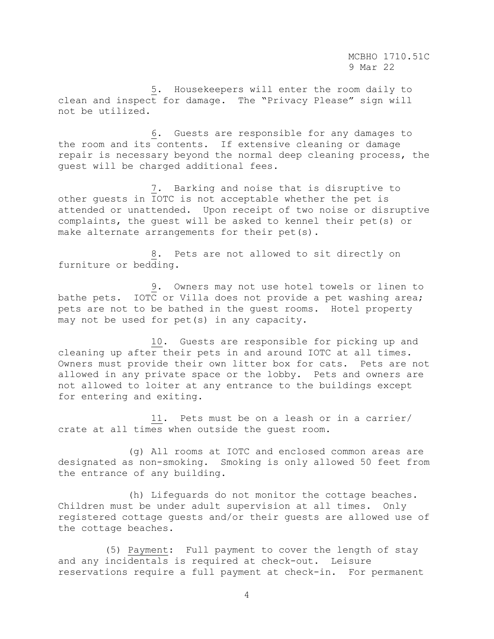5. Housekeepers will enter the room daily to clean and inspect for damage. The "Privacy Please" sign will not be utilized.

 6. Guests are responsible for any damages to the room and its contents. If extensive cleaning or damage repair is necessary beyond the normal deep cleaning process, the guest will be charged additional fees.

 7*.* Barking and noise that is disruptive to other guests in IOTC is not acceptable whether the pet is attended or unattended. Upon receipt of two noise or disruptive complaints, the guest will be asked to kennel their pet(s) or make alternate arrangements for their pet(s).

 8. Pets are not allowed to sit directly on furniture or bedding.

 9. Owners may not use hotel towels or linen to bathe pets. IOTC or Villa does not provide a pet washing area; pets are not to be bathed in the guest rooms. Hotel property may not be used for pet(s) in any capacity.

 10. Guests are responsible for picking up and cleaning up after their pets in and around IOTC at all times. Owners must provide their own litter box for cats. Pets are not allowed in any private space or the lobby. Pets and owners are not allowed to loiter at any entrance to the buildings except for entering and exiting.

 11. Pets must be on a leash or in a carrier/ crate at all times when outside the guest room.

 (g) All rooms at IOTC and enclosed common areas are designated as non-smoking. Smoking is only allowed 50 feet from the entrance of any building.

 (h) Lifeguards do not monitor the cottage beaches. Children must be under adult supervision at all times. Only registered cottage guests and/or their guests are allowed use of the cottage beaches.

 (5) Payment: Full payment to cover the length of stay and any incidentals is required at check-out. Leisure reservations require a full payment at check-in. For permanent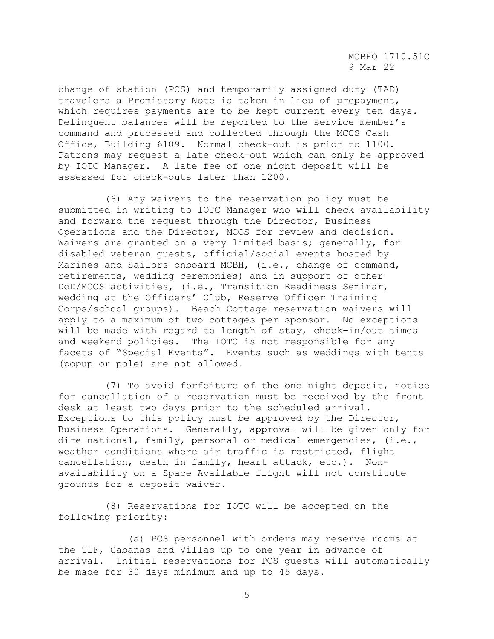change of station (PCS) and temporarily assigned duty (TAD) travelers a Promissory Note is taken in lieu of prepayment, which requires payments are to be kept current every ten days. Delinquent balances will be reported to the service member's command and processed and collected through the MCCS Cash Office, Building 6109. Normal check-out is prior to 1100. Patrons may request a late check-out which can only be approved by IOTC Manager. A late fee of one night deposit will be assessed for check-outs later than 1200.

 (6) Any waivers to the reservation policy must be submitted in writing to IOTC Manager who will check availability and forward the request through the Director, Business Operations and the Director, MCCS for review and decision. Waivers are granted on a very limited basis; generally, for disabled veteran guests, official/social events hosted by Marines and Sailors onboard MCBH, (i.e., change of command, retirements, wedding ceremonies) and in support of other DoD/MCCS activities, (i.e., Transition Readiness Seminar, wedding at the Officers' Club, Reserve Officer Training Corps/school groups). Beach Cottage reservation waivers will apply to a maximum of two cottages per sponsor. No exceptions will be made with regard to length of stay, check-in/out times and weekend policies. The IOTC is not responsible for any facets of "Special Events". Events such as weddings with tents (popup or pole) are not allowed.

 (7) To avoid forfeiture of the one night deposit, notice for cancellation of a reservation must be received by the front desk at least two days prior to the scheduled arrival. Exceptions to this policy must be approved by the Director, Business Operations. Generally, approval will be given only for dire national, family, personal or medical emergencies, (i.e., weather conditions where air traffic is restricted, flight cancellation, death in family, heart attack, etc.). Nonavailability on a Space Available flight will not constitute grounds for a deposit waiver.

 (8) Reservations for IOTC will be accepted on the following priority:

 (a) PCS personnel with orders may reserve rooms at the TLF, Cabanas and Villas up to one year in advance of arrival. Initial reservations for PCS guests will automatically be made for 30 days minimum and up to 45 days.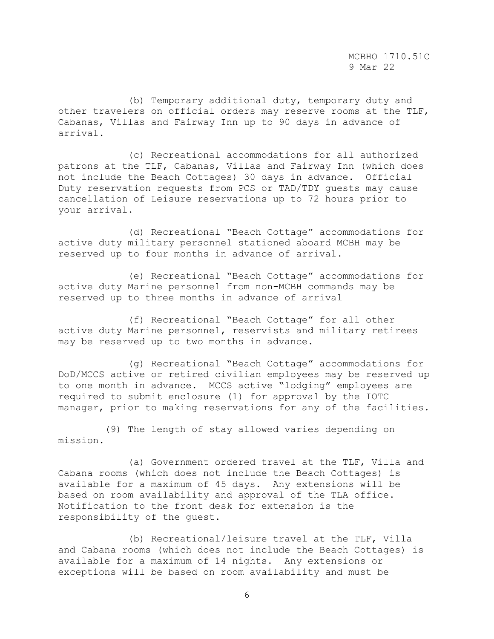MCBHO 1710.51C 9 Mar 22

 (b) Temporary additional duty, temporary duty and other travelers on official orders may reserve rooms at the TLF, Cabanas, Villas and Fairway Inn up to 90 days in advance of arrival.

 (c) Recreational accommodations for all authorized patrons at the TLF, Cabanas, Villas and Fairway Inn (which does not include the Beach Cottages) 30 days in advance. Official Duty reservation requests from PCS or TAD/TDY guests may cause cancellation of Leisure reservations up to 72 hours prior to your arrival.

 (d) Recreational "Beach Cottage" accommodations for active duty military personnel stationed aboard MCBH may be reserved up to four months in advance of arrival.

 (e) Recreational "Beach Cottage" accommodations for active duty Marine personnel from non-MCBH commands may be reserved up to three months in advance of arrival

 (f) Recreational "Beach Cottage" for all other active duty Marine personnel, reservists and military retirees may be reserved up to two months in advance.

 (g) Recreational "Beach Cottage" accommodations for DoD/MCCS active or retired civilian employees may be reserved up to one month in advance. MCCS active "lodging" employees are required to submit enclosure (1) for approval by the IOTC manager, prior to making reservations for any of the facilities.

 (9) The length of stay allowed varies depending on mission.

 (a) Government ordered travel at the TLF, Villa and Cabana rooms (which does not include the Beach Cottages) is available for a maximum of 45 days. Any extensions will be based on room availability and approval of the TLA office. Notification to the front desk for extension is the responsibility of the guest.

 (b) Recreational/leisure travel at the TLF, Villa and Cabana rooms (which does not include the Beach Cottages) is available for a maximum of 14 nights. Any extensions or exceptions will be based on room availability and must be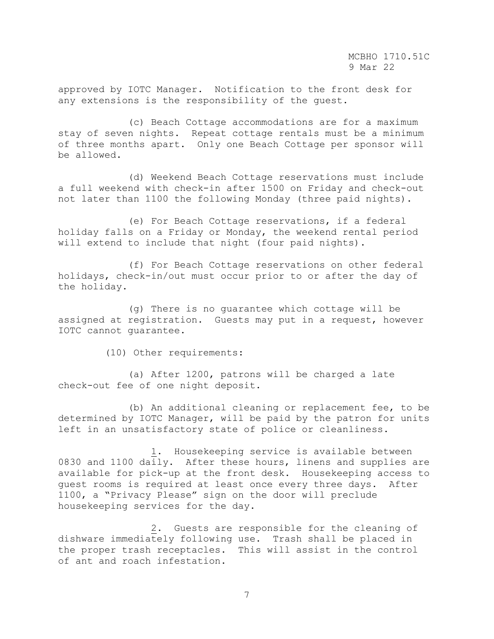approved by IOTC Manager. Notification to the front desk for any extensions is the responsibility of the guest.

 (c) Beach Cottage accommodations are for a maximum stay of seven nights. Repeat cottage rentals must be a minimum of three months apart. Only one Beach Cottage per sponsor will be allowed.

 (d) Weekend Beach Cottage reservations must include a full weekend with check-in after 1500 on Friday and check-out not later than 1100 the following Monday (three paid nights).

 (e) For Beach Cottage reservations, if a federal holiday falls on a Friday or Monday, the weekend rental period will extend to include that night (four paid nights).

 (f) For Beach Cottage reservations on other federal holidays, check-in/out must occur prior to or after the day of the holiday.

 (g) There is no guarantee which cottage will be assigned at registration. Guests may put in a request, however IOTC cannot guarantee.

(10) Other requirements:

 (a) After 1200, patrons will be charged a late check-out fee of one night deposit.

 (b) An additional cleaning or replacement fee, to be determined by IOTC Manager, will be paid by the patron for units left in an unsatisfactory state of police or cleanliness.

 1. Housekeeping service is available between 0830 and 1100 daily. After these hours, linens and supplies are available for pick-up at the front desk. Housekeeping access to guest rooms is required at least once every three days. After 1100, a "Privacy Please" sign on the door will preclude housekeeping services for the day.

 2. Guests are responsible for the cleaning of dishware immediately following use. Trash shall be placed in the proper trash receptacles. This will assist in the control of ant and roach infestation.

7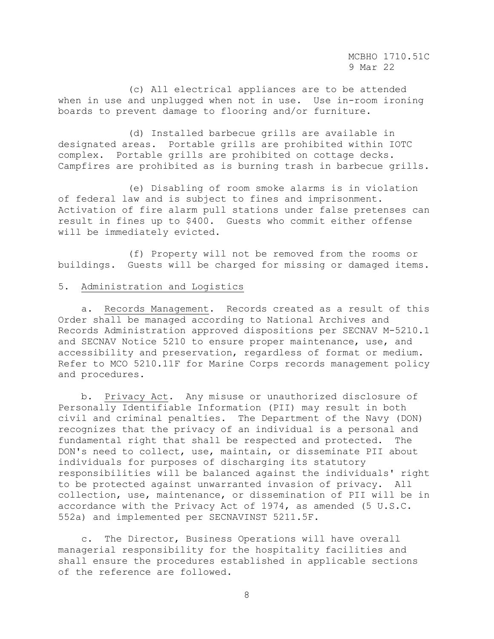(c) All electrical appliances are to be attended when in use and unplugged when not in use. Use in-room ironing boards to prevent damage to flooring and/or furniture.

 (d) Installed barbecue grills are available in designated areas. Portable grills are prohibited within IOTC complex. Portable grills are prohibited on cottage decks. Campfires are prohibited as is burning trash in barbecue grills.

 (e) Disabling of room smoke alarms is in violation of federal law and is subject to fines and imprisonment. Activation of fire alarm pull stations under false pretenses can result in fines up to \$400. Guests who commit either offense will be immediately evicted.

 (f) Property will not be removed from the rooms or buildings. Guests will be charged for missing or damaged items.

#### 5. Administration and Logistics

 a. Records Management. Records created as a result of this Order shall be managed according to National Archives and Records Administration approved dispositions per SECNAV M-5210.1 and SECNAV Notice 5210 to ensure proper maintenance, use, and accessibility and preservation, regardless of format or medium. Refer to MCO 5210.11F for Marine Corps records management policy and procedures.

 b. Privacy Act. Any misuse or unauthorized disclosure of Personally Identifiable Information (PII) may result in both civil and criminal penalties. The Department of the Navy (DON) recognizes that the privacy of an individual is a personal and fundamental right that shall be respected and protected. The DON's need to collect, use, maintain, or disseminate PII about individuals for purposes of discharging its statutory responsibilities will be balanced against the individuals' right to be protected against unwarranted invasion of privacy. All collection, use, maintenance, or dissemination of PII will be in accordance with the Privacy Act of 1974, as amended (5 U.S.C. 552a) and implemented per SECNAVINST 5211.5F.

 c. The Director, Business Operations will have overall managerial responsibility for the hospitality facilities and shall ensure the procedures established in applicable sections of the reference are followed.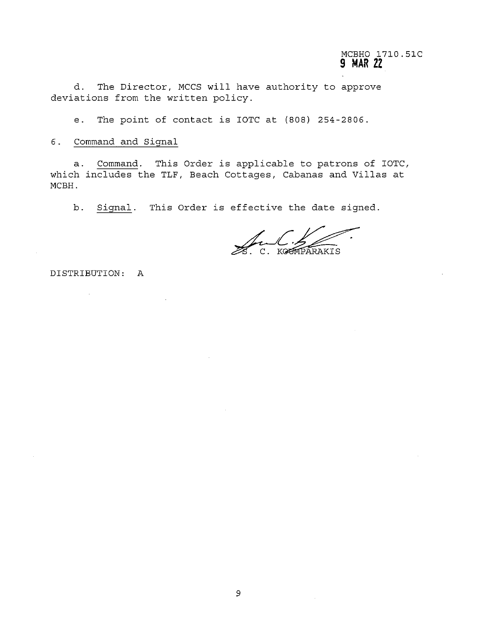# MCBHO 1710.51C 9 MAR 22

d. The Director, MCCS will have authority to approve deviations from the written policy.

e. The point of contact is IOTC at (808) 254-2806.

&. command and Signal

a. command. This Order is applicable to patrons of IOTC, which includes the TLF, Beach Cottages, Cabanas and Villas at MCBH.

b. Signal. This Order is effective the date signed.

C. KGUMPARAKIS

DISTRIBUTION: A